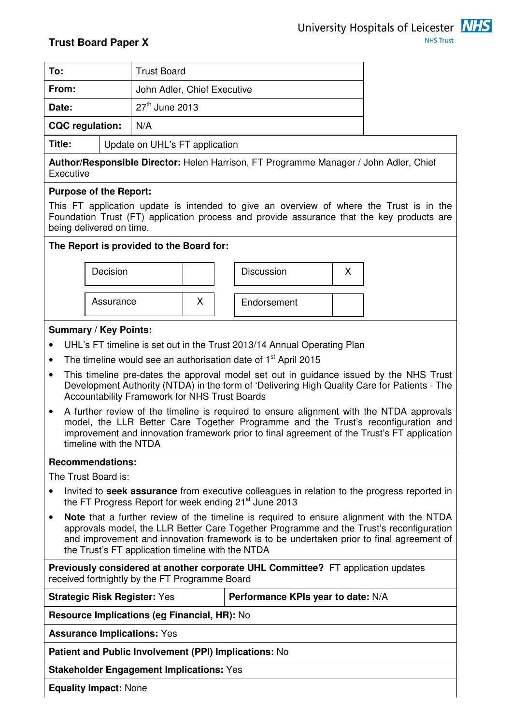| To:                    |                                | <b>Trust Board</b>          |
|------------------------|--------------------------------|-----------------------------|
| From:                  |                                | John Adler, Chief Executive |
| Date:                  |                                | 27 <sup>th</sup> June 2013  |
| <b>CQC</b> regulation: |                                | N/A                         |
| Title:                 | Update on UHL's FT application |                             |

**Author/Responsible Director:** Helen Harrison, FT Programme Manager / John Adler, Chief **Executive** 

## **Purpose of the Report:**

This FT application update is intended to give an overview of where the Trust is in the Foundation Trust (FT) application process and provide assurance that the key products are being delivered on time.

## **The Report is provided to the Board for:**



## **Summary / Key Points:**

- UHL's FT timeline is set out in the Trust 2013/14 Annual Operating Plan
- The timeline would see an authorisation date of  $1<sup>st</sup>$  April 2015
- This timeline pre-dates the approval model set out in guidance issued by the NHS Trust Development Authority (NTDA) in the form of 'Delivering High Quality Care for Patients - The Accountability Framework for NHS Trust Boards
- A further review of the timeline is required to ensure alignment with the NTDA approvals model, the LLR Better Care Together Programme and the Trust's reconfiguration and improvement and innovation framework prior to final agreement of the Trust's FT application timeline with the NTDA

#### **Recommendations:**

The Trust Board is:

- Invited to **seek assurance** from executive colleagues in relation to the progress reported in the FT Progress Report for week ending 21<sup>st</sup> June 2013
- **Note** that a further review of the timeline is required to ensure alignment with the NTDA approvals model, the LLR Better Care Together Programme and the Trust's reconfiguration and improvement and innovation framework is to be undertaken prior to final agreement of the Trust's FT application timeline with the NTDA

**Previously considered at another corporate UHL Committee?** FT application updates received fortnightly by the FT Programme Board

**Performance KPIs year to date: N/A** 

**Resource Implications (eg Financial, HR):** No

**Assurance Implications:** Yes

**Patient and Public Involvement (PPI) Implications:** No

**Stakeholder Engagement Implications:** Yes

**Equality Impact:** None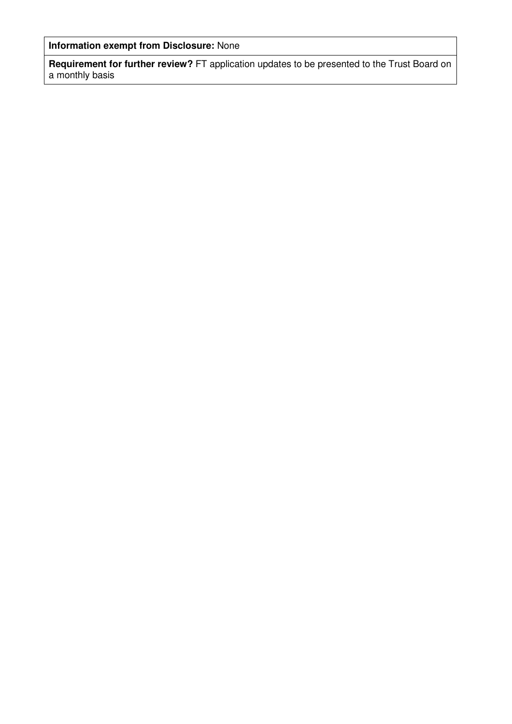**Information exempt from Disclosure:** None

**Requirement for further review?** FT application updates to be presented to the Trust Board on a monthly basis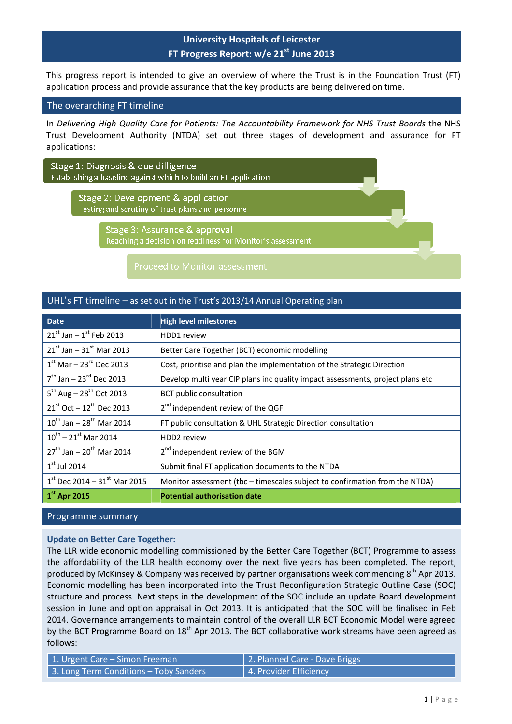This progress report is intended to give an overview of where the Trust is in the Foundation Trust (FT) application process and provide assurance that the key products are being delivered on time.

#### The overarching FT timeline

In Delivering High Quality Care for Patients: The Accountability Framework for NHS Trust Boards the NHS Trust Development Authority (NTDA) set out three stages of development and assurance for FT applications:

Stage 1: Diagnosis & due dilligence Establishing a baseline against which to build an FT application

> Stage 2: Development & application Testing and scrutiny of trust plans and personnel

> > Stage 3: Assurance & approval Reaching a decision on readiness for Monitor's assessment

#### UHL's FT timeline – as set out in the Trust's 2013/14 Annual Operating plan

| <b>Date</b>                               | <b>High level milestones</b>                                                   |
|-------------------------------------------|--------------------------------------------------------------------------------|
| $21^{st}$ Jan – $1^{st}$ Feb 2013         | HDD1 review                                                                    |
| $21^{st}$ Jan – $31^{st}$ Mar 2013        | Better Care Together (BCT) economic modelling                                  |
| $1st$ Mar – 23 <sup>rd</sup> Dec 2013     | Cost, prioritise and plan the implementation of the Strategic Direction        |
| $7^{th}$ Jan – 23 <sup>rd</sup> Dec 2013  | Develop multi year CIP plans inc quality impact assessments, project plans etc |
| $5^{th}$ Aug – 28 <sup>th</sup> Oct 2013  | <b>BCT</b> public consultation                                                 |
| $21^{st}$ Oct – $12^{th}$ Dec 2013        | 2 <sup>nd</sup> independent review of the QGF                                  |
| $10^{th}$ Jan - 28 <sup>th</sup> Mar 2014 | FT public consultation & UHL Strategic Direction consultation                  |
| $10^{th}$ – 21st Mar 2014                 | HDD <sub>2</sub> review                                                        |
| $27^{th}$ Jan - $20^{th}$ Mar 2014        | 2 <sup>nd</sup> independent review of the BGM                                  |
| $1st$ Jul 2014                            | Submit final FT application documents to the NTDA                              |
| $1st$ Dec 2014 – 31 $st$ Mar 2015         | Monitor assessment (tbc - timescales subject to confirmation from the NTDA)    |
| $1st$ Apr 2015                            | <b>Potential authorisation date</b>                                            |

#### Programme summary

#### Update on Better Care Together:

The LLR wide economic modelling commissioned by the Better Care Together (BCT) Programme to assess the affordability of the LLR health economy over the next five years has been completed. The report, produced by McKinsey & Company was received by partner organisations week commencing 8<sup>th</sup> Apr 2013. Economic modelling has been incorporated into the Trust Reconfiguration Strategic Outline Case (SOC) structure and process. Next steps in the development of the SOC include an update Board development session in June and option appraisal in Oct 2013. It is anticipated that the SOC will be finalised in Feb 2014. Governance arrangements to maintain control of the overall LLR BCT Economic Model were agreed by the BCT Programme Board on  $18<sup>th</sup>$  Apr 2013. The BCT collaborative work streams have been agreed as follows:

| 1. Urgent Care – Simon Freeman         | 2. Planned Care - Dave Briggs |
|----------------------------------------|-------------------------------|
| 3. Long Term Conditions - Toby Sanders | 4. Provider Efficiency        |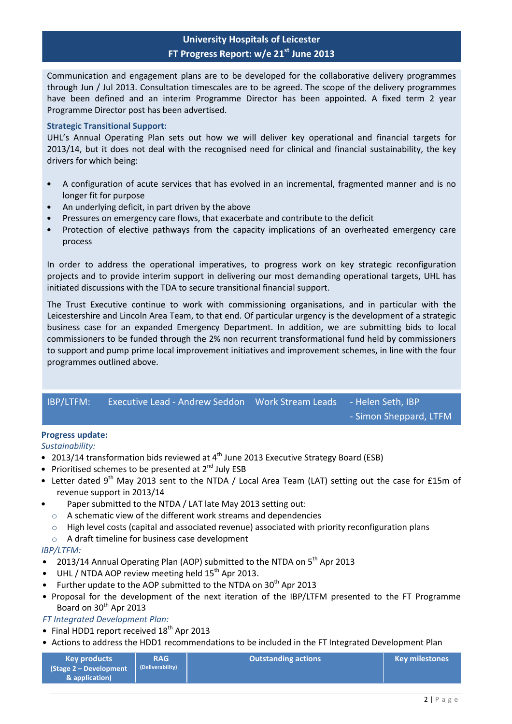Communication and engagement plans are to be developed for the collaborative delivery programmes through Jun / Jul 2013. Consultation timescales are to be agreed. The scope of the delivery programmes have been defined and an interim Programme Director has been appointed. A fixed term 2 year Programme Director post has been advertised.

#### Strategic Transitional Support:

UHL's Annual Operating Plan sets out how we will deliver key operational and financial targets for 2013/14, but it does not deal with the recognised need for clinical and financial sustainability, the key drivers for which being:

- A configuration of acute services that has evolved in an incremental, fragmented manner and is no longer fit for purpose
- An underlying deficit, in part driven by the above
- Pressures on emergency care flows, that exacerbate and contribute to the deficit
- Protection of elective pathways from the capacity implications of an overheated emergency care process

In order to address the operational imperatives, to progress work on key strategic reconfiguration projects and to provide interim support in delivering our most demanding operational targets, UHL has initiated discussions with the TDA to secure transitional financial support.

The Trust Executive continue to work with commissioning organisations, and in particular with the Leicestershire and Lincoln Area Team, to that end. Of particular urgency is the development of a strategic business case for an expanded Emergency Department. In addition, we are submitting bids to local commissioners to be funded through the 2% non recurrent transformational fund held by commissioners to support and pump prime local improvement initiatives and improvement schemes, in line with the four programmes outlined above.

| IBP/LTFM: |  |                        |
|-----------|--|------------------------|
|           |  | - Simon Sheppard, LTFM |

#### Progress update:

Sustainability:

- 2013/14 transformation bids reviewed at  $4<sup>th</sup>$  June 2013 Executive Strategy Board (ESB)
- Prioritised schemes to be presented at  $2^{nd}$  July ESB
- Letter dated 9<sup>th</sup> May 2013 sent to the NTDA / Local Area Team (LAT) setting out the case for £15m of revenue support in 2013/14
- Paper submitted to the NTDA / LAT late May 2013 setting out:
	- o A schematic view of the different work streams and dependencies
	- $\circ$  High level costs (capital and associated revenue) associated with priority reconfiguration plans
	- o A draft timeline for business case development

#### IBP/LTFM:

- 2013/14 Annual Operating Plan (AOP) submitted to the NTDA on 5<sup>th</sup> Apr 2013
- UHL / NTDA AOP review meeting held  $15<sup>th</sup>$  Apr 2013.
- Further update to the AOP submitted to the NTDA on  $30<sup>th</sup>$  Apr 2013
- Proposal for the development of the next iteration of the IBP/LTFM presented to the FT Programme Board on 30<sup>th</sup> Apr 2013

FT Integrated Development Plan:

- Final HDD1 report received  $18<sup>th</sup>$  Apr 2013
- Actions to address the HDD1 recommendations to be included in the FT Integrated Development Plan

| <b>Outstanding actions</b><br><b>RAG</b><br><b>Key products</b><br>(Deliverability)<br>$\sqrt{3}$ (Stage 2 – Development<br>& application) | <b>Key milestones</b> |
|--------------------------------------------------------------------------------------------------------------------------------------------|-----------------------|
|--------------------------------------------------------------------------------------------------------------------------------------------|-----------------------|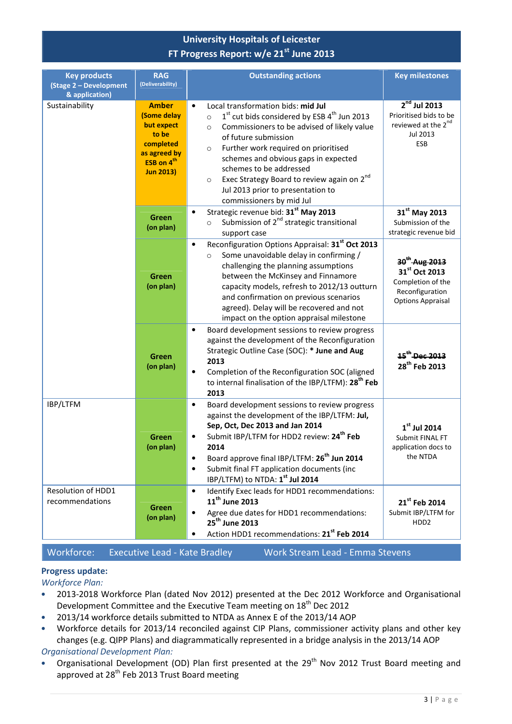| <b>Key products</b><br>(Stage 2 - Development<br>& application) | <b>RAG</b><br>(Deliverability)                                                                                                | <b>Outstanding actions</b>                                                                                                                                                                                                                                                                                                                                                                                                                      | <b>Key milestones</b>                                                                                                      |
|-----------------------------------------------------------------|-------------------------------------------------------------------------------------------------------------------------------|-------------------------------------------------------------------------------------------------------------------------------------------------------------------------------------------------------------------------------------------------------------------------------------------------------------------------------------------------------------------------------------------------------------------------------------------------|----------------------------------------------------------------------------------------------------------------------------|
| Sustainability                                                  | <b>Amber</b><br>(Some delay<br>but expect<br>to be<br>completed<br>as agreed by<br>ESB on 4 <sup>th</sup><br><b>Jun 2013)</b> | Local transformation bids: mid Jul<br>$\bullet$<br>$1st$ cut bids considered by ESB $4th$ Jun 2013<br>$\circ$<br>Commissioners to be advised of likely value<br>$\circ$<br>of future submission<br>Further work required on prioritised<br>$\circ$<br>schemes and obvious gaps in expected<br>schemes to be addressed<br>Exec Strategy Board to review again on 2nd<br>$\circ$<br>Jul 2013 prior to presentation to<br>commissioners by mid Jul | $2nd$ Jul 2013<br>Prioritised bids to be<br>reviewed at the 2 <sup>nd</sup><br>Jul 2013<br>ESB                             |
|                                                                 | Green<br>(on plan)                                                                                                            | Strategic revenue bid: 31 <sup>st</sup> May 2013<br>$\bullet$<br>Submission of 2 <sup>nd</sup> strategic transitional<br>$\circ$<br>support case                                                                                                                                                                                                                                                                                                | 31 <sup>st</sup> May 2013<br>Submission of the<br>strategic revenue bid                                                    |
|                                                                 | Green<br>(on plan)                                                                                                            | Reconfiguration Options Appraisal: 31st Oct 2013<br>$\bullet$<br>Some unavoidable delay in confirming /<br>$\circ$<br>challenging the planning assumptions<br>between the McKinsey and Finnamore<br>capacity models, refresh to 2012/13 outturn<br>and confirmation on previous scenarios<br>agreed). Delay will be recovered and not<br>impact on the option appraisal milestone                                                               | 30 <sup>th</sup> Aug 2013<br>31 <sup>st</sup> Oct 2013<br>Completion of the<br>Reconfiguration<br><b>Options Appraisal</b> |
|                                                                 | Green<br>(on plan)                                                                                                            | Board development sessions to review progress<br>$\bullet$<br>against the development of the Reconfiguration<br>Strategic Outline Case (SOC): * June and Aug<br>2013<br>Completion of the Reconfiguration SOC (aligned<br>$\bullet$<br>to internal finalisation of the IBP/LTFM): 28 <sup>th</sup> Feb<br>2013                                                                                                                                  | 15 <sup>th</sup> Dec 2013<br>28 <sup>th</sup> Feb 2013                                                                     |
| IBP/LTFM                                                        | Green<br>(on plan)                                                                                                            | Board development sessions to review progress<br>$\bullet$<br>against the development of the IBP/LTFM: Jul,<br>Sep, Oct, Dec 2013 and Jan 2014<br>Submit IBP/LTFM for HDD2 review: 24 <sup>th</sup> Feb<br>٠<br>2014<br>Board approve final IBP/LTFM: 26 <sup>th</sup> Jun 2014<br>$\bullet$<br>Submit final FT application documents (inc<br>$\bullet$<br>IBP/LTFM) to NTDA: 1 <sup>st</sup> Jul 2014                                          | $1st$ Jul 2014<br>Submit FINAL FT<br>application docs to<br>the NTDA                                                       |
| Resolution of HDD1<br>recommendations                           | Green<br>(on plan)                                                                                                            | Identify Exec leads for HDD1 recommendations:<br>$\bullet$<br>11 <sup>th</sup> June 2013<br>Agree due dates for HDD1 recommendations:<br>$\bullet$<br>25 <sup>th</sup> June 2013<br>Action HDD1 recommendations: 21 <sup>st</sup> Feb 2014<br>$\bullet$                                                                                                                                                                                         | 21 <sup>st</sup> Feb 2014<br>Submit IBP/LTFM for<br>HDD <sub>2</sub>                                                       |

Workforce: Executive Lead - Kate Bradley Work Stream Lead - Emma Stevens

## Progress update:

Workforce Plan:

- 2013-2018 Workforce Plan (dated Nov 2012) presented at the Dec 2012 Workforce and Organisational Development Committee and the Executive Team meeting on 18<sup>th</sup> Dec 2012
- 2013/14 workforce details submitted to NTDA as Annex E of the 2013/14 AOP
- Workforce details for 2013/14 reconciled against CIP Plans, commissioner activity plans and other key changes (e.g. QIPP Plans) and diagrammatically represented in a bridge analysis in the 2013/14 AOP Organisational Development Plan:
- Organisational Development (OD) Plan first presented at the 29<sup>th</sup> Nov 2012 Trust Board meeting and approved at 28<sup>th</sup> Feb 2013 Trust Board meeting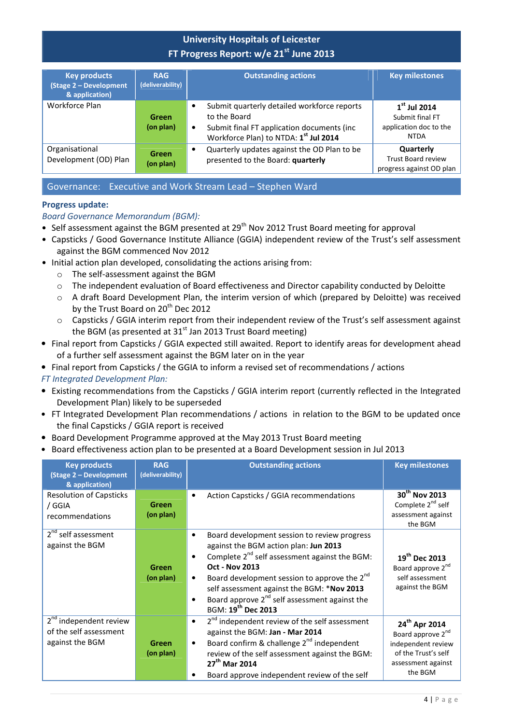| <b>Key products</b><br>(Stage 2 - Development<br>& application) | <b>RAG</b><br>(deliverability) | <b>Outstanding actions</b>                                                                                                                                                  | <b>Key milestones</b>                                                      |
|-----------------------------------------------------------------|--------------------------------|-----------------------------------------------------------------------------------------------------------------------------------------------------------------------------|----------------------------------------------------------------------------|
| Workforce Plan                                                  | Green<br>(on plan)             | Submit quarterly detailed workforce reports<br>to the Board<br>Submit final FT application documents (inc<br>$\bullet$<br>Workforce Plan) to NTDA: 1 <sup>st</sup> Jul 2014 | $1st$ Jul 2014<br>Submit final FT<br>application doc to the<br><b>NTDA</b> |
| Organisational<br>Development (OD) Plan                         | Green<br>(on plan)             | Quarterly updates against the OD Plan to be<br>$\bullet$<br>presented to the Board: quarterly                                                                               | Quarterly<br><b>Trust Board review</b><br>progress against OD plan         |

## Governance: Executive and Work Stream Lead – Stephen Ward

#### Progress update:

### Board Governance Memorandum (BGM):

- Self assessment against the BGM presented at  $29^{th}$  Nov 2012 Trust Board meeting for approval
- Capsticks / Good Governance Institute Alliance (GGIA) independent review of the Trust's self assessment against the BGM commenced Nov 2012
- Initial action plan developed, consolidating the actions arising from:
	- o The self-assessment against the BGM
	- o The independent evaluation of Board effectiveness and Director capability conducted by Deloitte
	- o A draft Board Development Plan, the interim version of which (prepared by Deloitte) was received by the Trust Board on 20<sup>th</sup> Dec 2012
	- Capsticks / GGIA interim report from their independent review of the Trust's self assessment against the BGM (as presented at  $31<sup>st</sup>$  Jan 2013 Trust Board meeting)
- Final report from Capsticks / GGIA expected still awaited. Report to identify areas for development ahead of a further self assessment against the BGM later on in the year
- Final report from Capsticks / the GGIA to inform a revised set of recommendations / actions
- FT Integrated Development Plan:
- Existing recommendations from the Capsticks / GGIA interim report (currently reflected in the Integrated Development Plan) likely to be superseded
- FT Integrated Development Plan recommendations / actions in relation to the BGM to be updated once the final Capsticks / GGIA report is received
- Board Development Programme approved at the May 2013 Trust Board meeting
- Board effectiveness action plan to be presented at a Board Development session in Jul 2013

| <b>Key products</b><br>(Stage 2 - Development                                   | <b>RAG</b><br>(deliverability) | <b>Outstanding actions</b>                                                                                                                                                                                                                                                                                                                                                                              | <b>Key milestones</b>                                                                                                                    |
|---------------------------------------------------------------------------------|--------------------------------|---------------------------------------------------------------------------------------------------------------------------------------------------------------------------------------------------------------------------------------------------------------------------------------------------------------------------------------------------------------------------------------------------------|------------------------------------------------------------------------------------------------------------------------------------------|
| & application)<br><b>Resolution of Capsticks</b><br>/ GGIA<br>recommendations   | Green<br>(on plan)             | Action Capsticks / GGIA recommendations<br>$\bullet$                                                                                                                                                                                                                                                                                                                                                    | 30 <sup>th</sup> Nov 2013<br>Complete 2 <sup>nd</sup> self<br>assessment against<br>the BGM                                              |
| 2 <sup>nd</sup> self assessment<br>against the BGM                              | <b>Green</b><br>(on plan)      | Board development session to review progress<br>against the BGM action plan: Jun 2013<br>Complete $2^{nd}$ self assessment against the BGM:<br>$\bullet$<br><b>Oct - Nov 2013</b><br>Board development session to approve the 2 <sup>nd</sup><br>$\bullet$<br>self assessment against the BGM: *Nov 2013<br>Board approve 2 <sup>nd</sup> self assessment against the<br>BGM: 19 <sup>th</sup> Dec 2013 | 19 <sup>th</sup> Dec 2013<br>Board approve 2 <sup>nd</sup><br>self assessment<br>against the BGM                                         |
| 2 <sup>nd</sup> independent review<br>of the self assessment<br>against the BGM | Green<br>(on plan)             | 2 <sup>nd</sup> independent review of the self assessment<br>$\bullet$<br>against the BGM: Jan - Mar 2014<br>Board confirm & challenge 2 <sup>nd</sup> independent<br>$\bullet$<br>review of the self assessment against the BGM:<br>27 <sup>th</sup> Mar 2014<br>Board approve independent review of the self                                                                                          | 24 <sup>th</sup> Apr 2014<br>Board approve 2 <sup>nd</sup><br>independent review<br>of the Trust's self<br>assessment against<br>the BGM |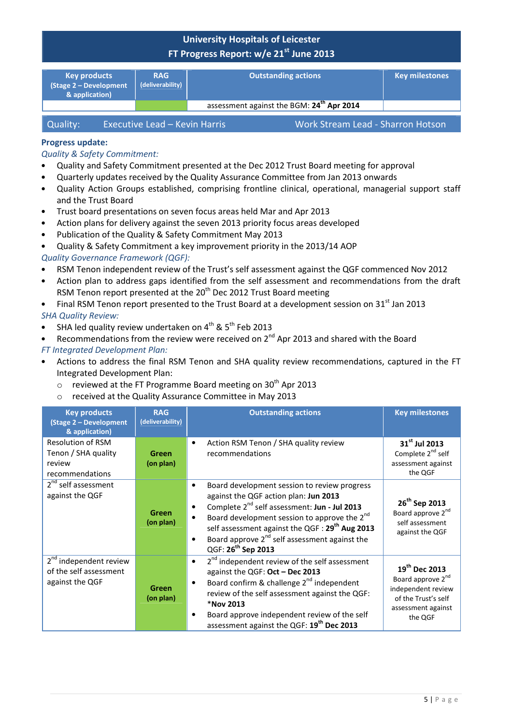| <b>Key products</b><br>(Stage 2 - Development<br>& application) | <b>RAG</b><br>(deliverability) | <b>Outstanding actions</b>                            | <b>Key milestones</b> |
|-----------------------------------------------------------------|--------------------------------|-------------------------------------------------------|-----------------------|
|                                                                 |                                | assessment against the BGM: 24 <sup>th</sup> Apr 2014 |                       |
|                                                                 |                                |                                                       |                       |

| Quality: | Executive Lead - Kevin Harris | Work Stream Lead - Sharron Hotson |
|----------|-------------------------------|-----------------------------------|
|----------|-------------------------------|-----------------------------------|

## Progress update:

#### Quality & Safety Commitment:

- Quality and Safety Commitment presented at the Dec 2012 Trust Board meeting for approval
- Quarterly updates received by the Quality Assurance Committee from Jan 2013 onwards
- Quality Action Groups established, comprising frontline clinical, operational, managerial support staff and the Trust Board
- Trust board presentations on seven focus areas held Mar and Apr 2013
- Action plans for delivery against the seven 2013 priority focus areas developed
- Publication of the Quality & Safety Commitment May 2013
- Quality & Safety Commitment a key improvement priority in the 2013/14 AOP

#### Quality Governance Framework (QGF):

- RSM Tenon independent review of the Trust's self assessment against the QGF commenced Nov 2012
- Action plan to address gaps identified from the self assessment and recommendations from the draft RSM Tenon report presented at the 20<sup>th</sup> Dec 2012 Trust Board meeting
- Final RSM Tenon report presented to the Trust Board at a development session on  $31<sup>st</sup>$  Jan 2013 SHA Quality Review:
- SHA led quality review undertaken on  $4^{th}$  &  $5^{th}$  Feb 2013
- Recommendations from the review were received on 2<sup>nd</sup> Apr 2013 and shared with the Board

#### FT Integrated Development Plan:

- Actions to address the final RSM Tenon and SHA quality review recommendations, captured in the FT Integrated Development Plan:
	- $\circ$  reviewed at the FT Programme Board meeting on 30<sup>th</sup> Apr 2013
	- o received at the Quality Assurance Committee in May 2013

| <b>Key products</b><br>(Stage 2 - Development<br>& application)                 | <b>RAG</b><br>(deliverability) | <b>Outstanding actions</b>                                                                                                                                                                                                                                                                                                                                                        | <b>Key milestones</b>                                                                                                                    |
|---------------------------------------------------------------------------------|--------------------------------|-----------------------------------------------------------------------------------------------------------------------------------------------------------------------------------------------------------------------------------------------------------------------------------------------------------------------------------------------------------------------------------|------------------------------------------------------------------------------------------------------------------------------------------|
| Resolution of RSM<br>Tenon / SHA quality<br>review<br>recommendations           | Green<br>(on plan)             | Action RSM Tenon / SHA quality review<br>recommendations                                                                                                                                                                                                                                                                                                                          | 31 <sup>st</sup> Jul 2013<br>Complete 2 <sup>nd</sup> self<br>assessment against<br>the QGF                                              |
| 2 <sup>nd</sup> self assessment<br>against the QGF                              | Green<br>(on plan)             | Board development session to review progress<br>$\bullet$<br>against the QGF action plan: Jun 2013<br>Complete 2 <sup>nd</sup> self assessment: Jun - Jul 2013<br>Board development session to approve the 2 <sup>nd</sup><br>self assessment against the QGF : 29 <sup>th</sup> Aug 2013<br>Board approve $2^{nd}$ self assessment against the<br>QGF: 26 <sup>th</sup> Sep 2013 | 26 <sup>th</sup> Sep 2013<br>Board approve 2 <sup>nd</sup><br>self assessment<br>against the QGF                                         |
| 2 <sup>nd</sup> independent review<br>of the self assessment<br>against the QGF | Green<br>(on plan)             | 2 <sup>nd</sup> independent review of the self assessment<br>$\bullet$<br>against the QGF: Oct - Dec 2013<br>Board confirm & challenge 2 <sup>nd</sup> independent<br>$\bullet$<br>review of the self assessment against the QGF:<br>*Nov 2013<br>Board approve independent review of the self<br>assessment against the QGF: 19 <sup>th</sup> Dec 2013                           | 19 <sup>th</sup> Dec 2013<br>Board approve 2 <sup>nd</sup><br>independent review<br>of the Trust's self<br>assessment against<br>the QGF |